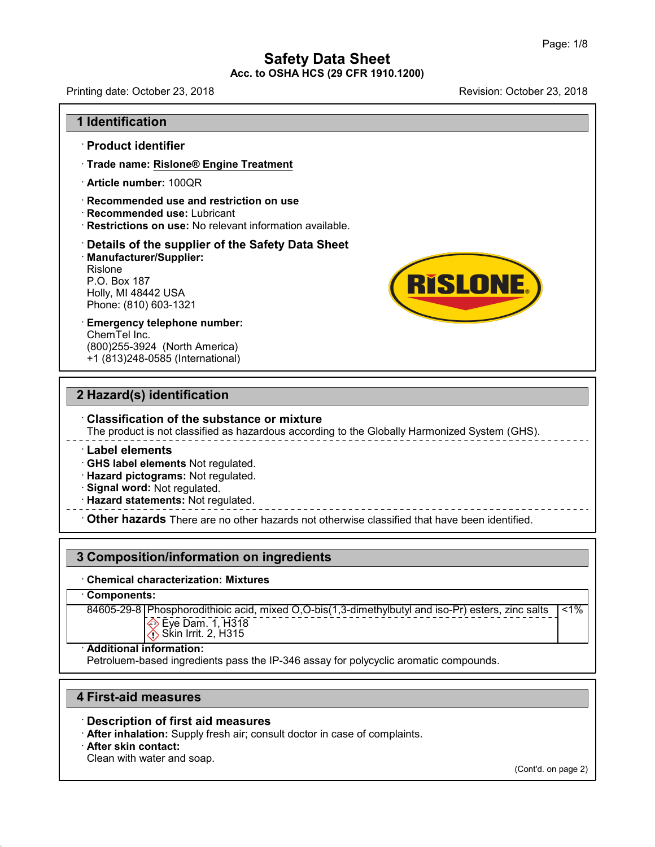Printing date: October 23, 2018 Revision: October 23, 2018

**RISLONE.** 

#### **1 Identification**

#### · **Product identifier**

- · **Trade name: Rislone® Engine Treatment**
- · **Article number:** 100QR
- · **Recommended use and restriction on use**
- · **Recommended use:** Lubricant
- · **Restrictions on use:** No relevant information available.

## · **Details of the supplier of the Safety Data Sheet**

• **Details of the supplier of the Saf**<br>• Manufacturer/Supplier:<br>Rislone<br>P.O. Box 187<br>Holly, MI 48442 USA<br>Phone: (810) 603-1321<br>• **Emergency telephone number:** · **Manufacturer/Supplier:** Rislone<br>P.O. Box 187 Restrictions on use: No rel<br>Details of the supplier o<br>Manufacturer/Supplier:<br>Rislone<br>P.O. Box 187<br>Holly, MI 48442 USA<br>Phone: (810) 603-1321 **Details of the supplier of the {<br>Manufacturer/Supplier:**<br>Rislone<br>P.O. Box 187<br>Holly, MI 48442 USA<br>Phone: (810) 603-1321

# ChemTel Inc. (800)255-3924 (North America)

+1 (813)248-0585 (International)

#### **2 Hazard(s) identification**

#### · **Classification of the substance or mixture**

The product is not classified as hazardous according to the Globally Harmonized System (GHS).

#### · **Label elements**

· **GHS label elements** Not regulated.

- · **Hazard pictograms:** Not regulated.
- · **Signal word:** Not regulated.
- · **Hazard statements:** Not regulated.

· **Other hazards** There are no other hazards nototherwise classified that have been identified.

#### **3 Composition/information on ingredients**

#### · **Chemical characterization: Mixtures**

#### · **Components:**

84605-29-8 | Phosphorodithioic acid, mixed O,O-bis(1,3-dimethylbutyl and iso-Pr) esters, zinc salts Eye Dam. 1, H318  $1%$ 

```
Skin Irrit. 2, H315
```
#### · **Additional information:**

Petroluem-based ingredients pass the IP-346 assay for polycyclic aromatic compounds.

#### **4 First-aid measures**

#### · **Description of first aid measures**

· **After inhalation:** Supply fresh air; consult doctor in case of complaints.

· **After skin contact:**

48.0

Clean with water and soap.

(Cont'd. on page 2)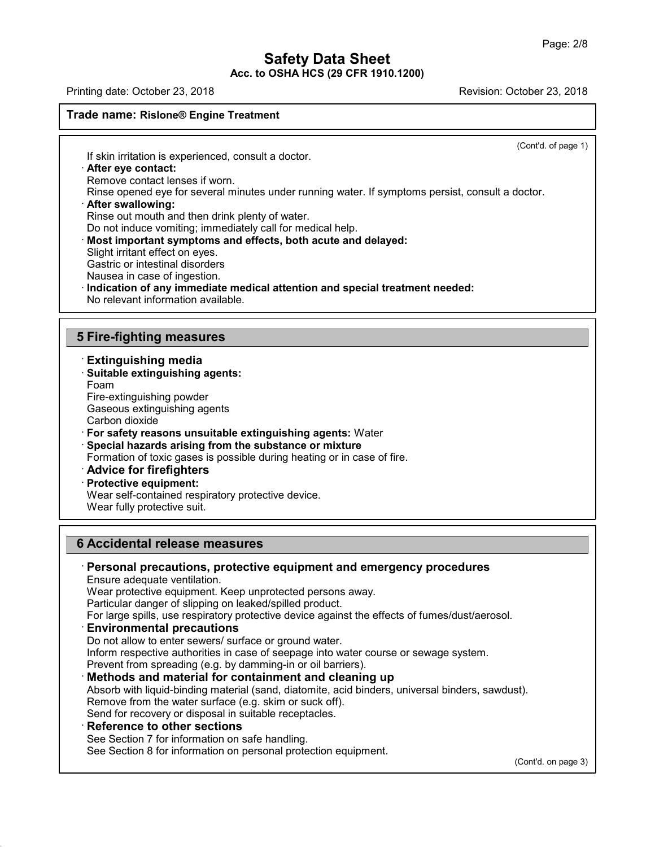Printing date: October 23, 2018 **Printing date: October 23, 2018** 

#### **Trade name: Rislone® Engine Treatment**

(Cont'd. of page 1)

If skin irritation is experienced, consult a doctor.

#### · **After eye contact:**

Remove contact lenses if worn.

Rinse opened eye for several minutes under running water. If symptoms persist, consult a doctor.

#### · **After swallowing:**

Rinse out mouth and then drink plenty of water.

Do not induce vomiting; immediately call for medical help.

- · **Most important symptoms and effects, both acute and delayed:**
- Slight irritant effect on eyes.

Gastric or intestinal disorders

Nausea in case of ingestion.

· **Indication of any immediate medical attention and special treatment needed:**

No relevant information available.

#### **5 Fire-fighting measures**

· **Extinguishing media** · **Suitable extinguishing agents:** Foam Fire-extinguishing powder Gaseous extinguishing agents Carbon dioxide · **For safety reasons unsuitable extinguishing agents:** Water · **Special hazards arising from the substance or mixture** Formation of toxic gases is possible during heating or in case of fire. · **Advice for firefighters** · **Protective equipment:** Wear self-contained respiratory protective device.

Wear fully protective suit.

## **6 Accidental release measures**

# · **Personal precautions, protective equipment and emergency procedures**

Ensure adequate ventilation.

Wear protective equipment. Keep unprotected persons away.

Particular danger of slipping on leaked/spilled product.

For large spills, use respiratory protective device against the effects of fumes/dust/aerosol.

#### · **Environmental precautions**

Do not allow to enter sewers/ surface or ground water. Inform respective authorities in case of seepage into water course or sewage system. Prevent from spreading (e.g. by damming-in or oil barriers).

#### · **Methods and material for containment and cleaning up**

Absorb with liquid-binding material (sand, diatomite, acid binders, universal binders, sawdust). Remove from the water surface (e.g. skim or suck off). Send for recovery or disposal in suitable receptacles.

#### · **Reference to other sections**

48.0

See Section 7 for information on safe handling.

See Section 8 for information on personal protection equipment.

(Cont'd. on page 3)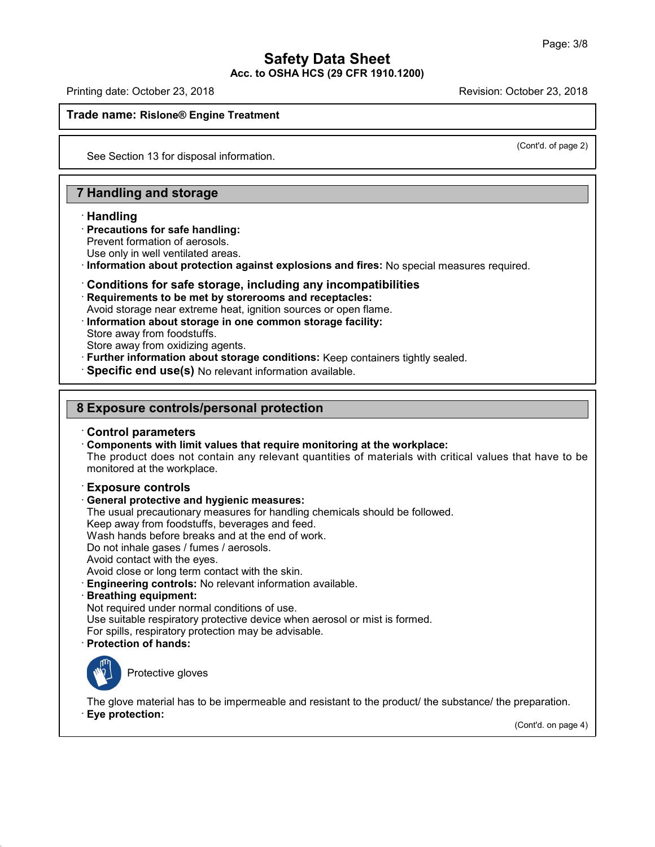Printing date: October 23, 2018 Revision: October 23, 2018

#### **Trade name: Rislone® Engine Treatment**

(Cont'd. of page 2)

See Section 13 for disposal information.

## **7 Handling and storage**

#### · **Handling**

#### · **Precautions for safe handling:**

Prevent formation of aerosols.

Use only in well ventilated areas.

· **Information about protection against explosions and fires:** No special measures required.

# · **Conditions for safe storage, including any incompatibilities**

· **Requirements to be met by storerooms and receptacles:**

- Avoid storage near extreme heat, ignition sources or open flame.
- · **Information about storage in one common storage facility:**
- Store away from foodstuffs.
- Store away from oxidizing agents.
- · **Further information about storage conditions:** Keep containers tightly sealed.
- · **Specific end use(s)** No relevant information available.

## **8 Exposure controls/personal protection**

#### · **Control parameters**

· **Components with limit values that require monitoring at the workplace:**

The product does not contain any relevant quantities of materials with critical values that have to be monitored at the workplace.

#### · **Exposure controls**

## · **General protective and hygienic measures:**

The usual precautionary measures for handling chemicals should be followed.

Keep away from foodstuffs, beverages and feed.

Wash hands before breaks and at the end of work.

Do not inhale gases / fumes / aerosols.

Avoid contact with the eyes.

Avoid close or long term contact with the skin.

- · **Engineering controls:** No relevant information available.
- · **Breathing equipment:**

Not required under normal conditions of use.

Use suitable respiratory protective device when aerosol or mist is formed.

For spills, respiratory protection may be advisable.

· **Protection of hands:**



48.0

Protective gloves

The glove material has to be impermeable and resistant to the product/ the substance/ the preparation. · **Eye protection:**

(Cont'd. on page 4)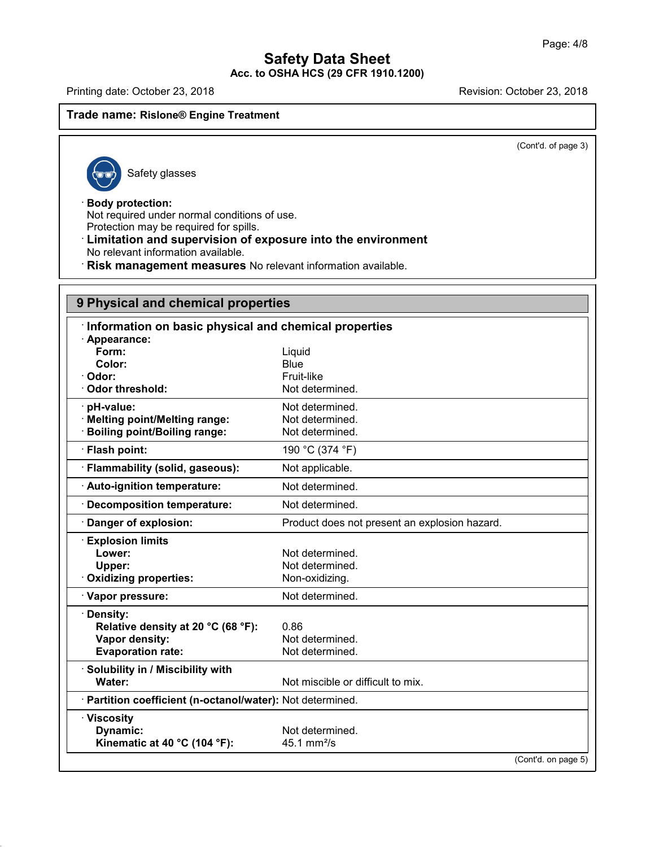Printing date: October 23, 2018 **Printing date: October 23, 2018** 

#### **Trade name: Rislone® Engine Treatment**

(Cont'd. of page 3)

Safety glasses

#### · **Body protection:**

48.0

Not required under normal conditions of use. Protection may be required for spills.

#### · **Limitation and supervision of exposure into the environment** No relevant information available.

· **Risk management measures** No relevant information available.

# **9 Physical and chemical properties**

| Information on basic physical and chemical properties      |                                               |
|------------------------------------------------------------|-----------------------------------------------|
| · Appearance:                                              |                                               |
| Form:<br>Color:                                            | Liquid<br>Blue                                |
| · Odor:                                                    | Fruit-like                                    |
| Odor threshold:                                            | Not determined.                               |
| · pH-value:                                                | Not determined.                               |
| · Melting point/Melting range:                             | Not determined.                               |
| <b>Boiling point/Boiling range:</b>                        | Not determined.                               |
| · Flash point:                                             | 190 °C (374 °F)                               |
| · Flammability (solid, gaseous):                           | Not applicable.                               |
| · Auto-ignition temperature:                               | Not determined.                               |
| <b>Decomposition temperature:</b>                          | Not determined.                               |
| Danger of explosion:                                       | Product does not present an explosion hazard. |
| <b>Explosion limits</b>                                    |                                               |
| Lower:                                                     | Not determined.                               |
| Upper:                                                     | Not determined.                               |
| Oxidizing properties:                                      | Non-oxidizing.                                |
| · Vapor pressure:                                          | Not determined.                               |
| · Density:                                                 |                                               |
| Relative density at 20 °C (68 °F):                         | 0.86                                          |
| Vapor density:                                             | Not determined.                               |
| <b>Evaporation rate:</b>                                   | Not determined.                               |
| · Solubility in / Miscibility with                         |                                               |
| Water:                                                     | Not miscible or difficult to mix.             |
| · Partition coefficient (n-octanol/water): Not determined. |                                               |
| · Viscosity                                                |                                               |
| Dynamic:                                                   | Not determined.                               |
| Kinematic at 40 °C (104 °F):                               | $45.1 \text{ mm}^2/\text{s}$                  |
|                                                            | (Cont'd. on page 5)                           |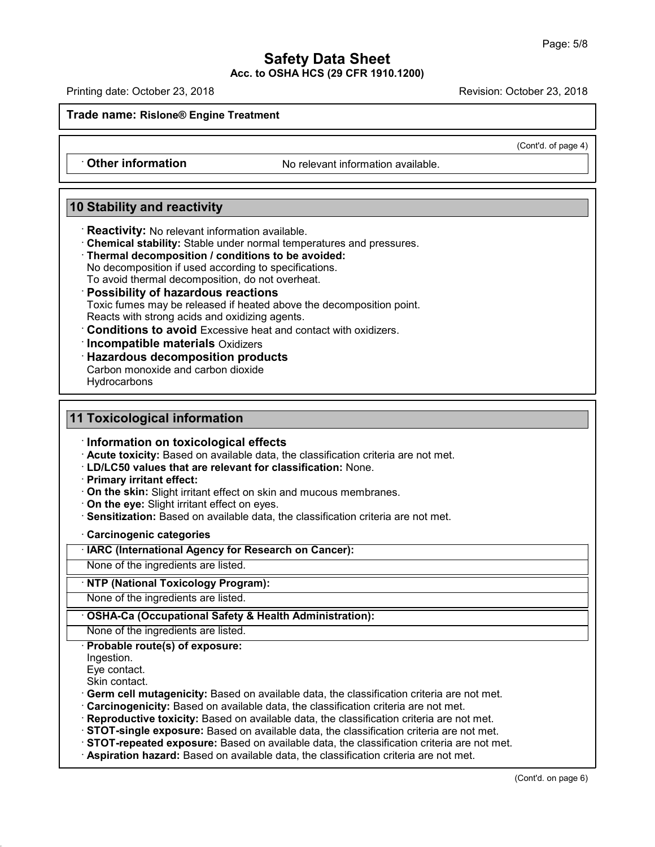Printing date: October 23, 2018 Revision: October 23, 2018

**Trade name: Rislone® Engine Treatment**

(Cont'd. of page 4)

• **Other information** No relevant information available.

## **10 Stability and reactivity**

· **Reactivity:** No relevant information available.

- · **Chemical stability:** Stable under normal temperatures and pressures.
- · **Thermal decomposition / conditions to be avoided:**

No decomposition if used according to specifications.

To avoid thermal decomposition, do not overheat.

#### · **Possibility of hazardous reactions**

Toxic fumes may be released if heated above the decomposition point.

Reacts with strong acids and oxidizing agents.

· **Conditions to avoid** Excessive heat and contact with oxidizers.

· **Incompatible materials** Oxidizers

· **Hazardous decomposition products**

Carbon monoxide and carbon dioxide **Hydrocarbons** 

## **11 Toxicological information**

· **Information on toxicological effects**

· **Acute toxicity:** Based on available data, the classification criteria are not met.

· **LD/LC50 values that are relevant for classification:** None.

- · **Primary irritant effect:**
- · **On the skin:** Slight irritant effect on skin and mucous membranes.
- · **On the eye:** Slight irritant effect on eyes.
- · **Sensitization:** Based on available data, the classification criteria are not met.

#### · **Carcinogenic categories**

· **IARC (International Agency for Research on Cancer):**

None of the ingredients are listed.

#### · **NTP (National Toxicology Program):**

None of the ingredients are listed.

#### · **OSHA-Ca (Occupational Safety & Health Administration):**

None of the ingredients are listed.

#### · **Probable route(s) of exposure:**

Ingestion.

Eye contact.

Skin contact.

48.0

· **Germ cell mutagenicity:** Based on available data, the classification criteria are not met.

· **Carcinogenicity:** Based on available data, the classification criteria are not met.

· **Reproductive toxicity:** Based on available data, the classification criteria are not met.

· **STOT-single exposure:** Based on available data, the classification criteria are not met.

· **STOT-repeated exposure:** Based on available data, the classification criteria are not met.

· **Aspiration hazard:** Based on available data, the classification criteria are not met.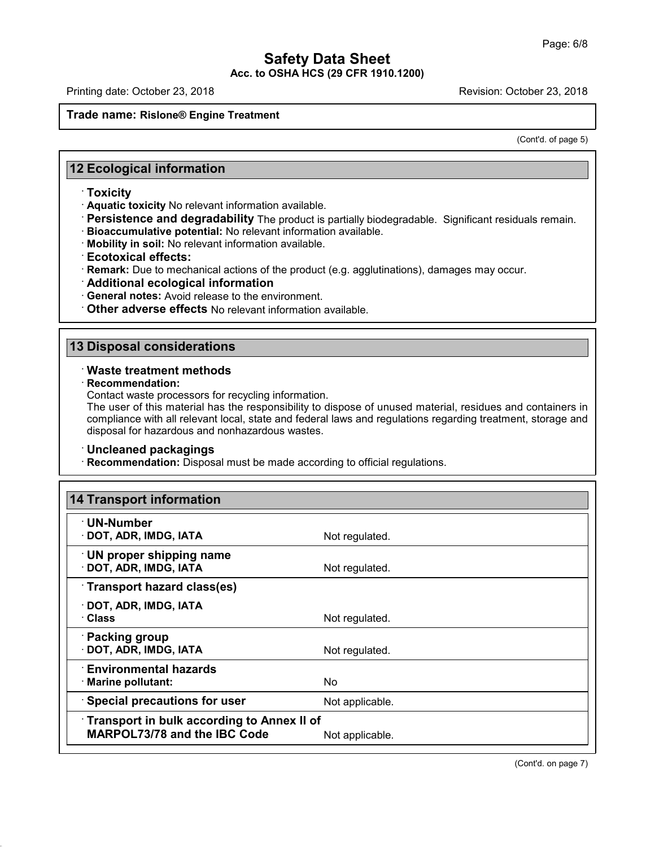Printing date: October 23, 2018 Revision: October 23, 2018

#### **Trade name: Rislone® Engine Treatment**

(Cont'd. of page 5)

## **12 Ecological information**

#### · **Toxicity**

· **Aquatic toxicity** No relevant information available.

· **Persistence and degradability** The product is partially biodegradable. Significant residuals remain.

· **Bioaccumulative potential:** No relevant information available.

· **Mobility in soil:** No relevant information available.

· **Ecotoxical effects:**

· **Remark:** Due to mechanical actions of the product (e.g. agglutinations), damages may occur.

- · **Additional ecological information**
- · **General notes:** Avoid release to the environment.

· **Other adverse effects** No relevant information available.

## **13 Disposal considerations**

#### · **Waste treatment methods**

· **Recommendation:**

48.0

Contact waste processors for recycling information.

The user of this material has the responsibility to dispose of unused material, residues and containers in compliance with all relevant local, state and federal laws and regulations regarding treatment, storage and disposal for hazardous and nonhazardous wastes.

#### · **Uncleaned packagings**

· **Recommendation:** Disposal must be made according to official regulations.

| <b>14 Transport information</b>                                                                      |                 |
|------------------------------------------------------------------------------------------------------|-----------------|
| · UN-Number<br>· DOT, ADR, IMDG, IATA                                                                | Not regulated.  |
| <b>UN proper shipping name</b><br>· DOT, ADR, IMDG, IATA                                             | Not regulated.  |
| Transport hazard class(es)                                                                           |                 |
| · DOT, ADR, IMDG, IATA<br>· Class                                                                    | Not regulated.  |
| · Packing group<br>· DOT, ADR, IMDG, IATA                                                            | Not regulated.  |
| <b>Environmental hazards</b><br>· Marine pollutant:                                                  | No.             |
| <b>Special precautions for user</b>                                                                  | Not applicable. |
| Transport in bulk according to Annex II of<br><b>MARPOL73/78 and the IBC Code</b><br>Not applicable. |                 |

(Cont'd. on page 7)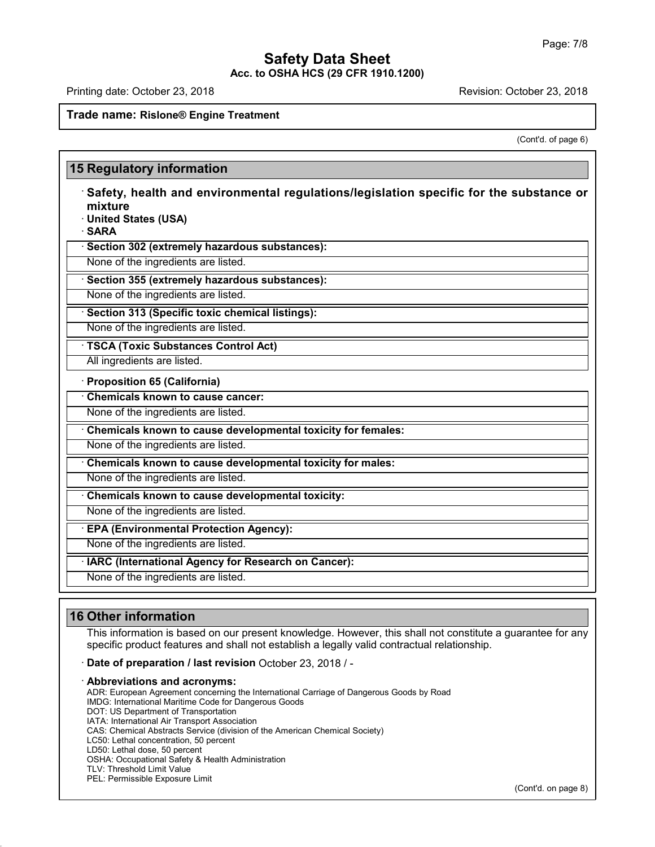Printing date: October 23, 2018 Revision: October 23, 2018

#### **Trade name: Rislone® Engine Treatment**

(Cont'd. of page 6)

## **15 Regulatory information** · **Safety, health and environmental regulations/legislation specific for the substance or mixture** · **United States (USA)** · **SARA** · **Section 302 (extremely hazardous substances):** None of the ingredients are listed. · **Section 355 (extremely hazardous substances):** None of the ingredients are listed. · **Section 313 (Specific toxic chemical listings):** None of the ingredients are listed. · **TSCA (Toxic Substances Control Act)** All ingredients are listed. · **Proposition 65 (California)** · **Chemicals known to cause cancer:** None of the ingredients are listed. · **Chemicals known to cause developmental toxicity for females:** None of the ingredients are listed. · **Chemicals known to cause developmental toxicity for males:** None of the ingredients are listed. · **Chemicals known to cause developmental toxicity:** None of the ingredients are listed. · **EPA (Environmental Protection Agency):** None of the ingredients are listed. · **IARC (International Agency for Research on Cancer):** None of the ingredients are listed.

## **16 Other information**

48.0

This information is based on our present knowledge. However, this shall not constitute a guarantee for any specific product features and shall not establish a legally valid contractual relationship.

· **Date of preparation / last revision** October 23, 2018 / -

· **Abbreviations and acronyms:** ADR: European Agreement concerning the International Carriage of Dangerous Goods by Road IMDG: International Maritime Code for Dangerous Goods DOT: US Department of Transportation IATA: International Air Transport Association CAS: Chemical Abstracts Service (division of the American Chemical Society) LC50: Lethal concentration, 50 percent LD50: Lethal dose, 50 percent OSHA: Occupational Safety & Health Administration TLV: Threshold Limit Value PEL: Permissible Exposure Limit

(Cont'd. on page 8)